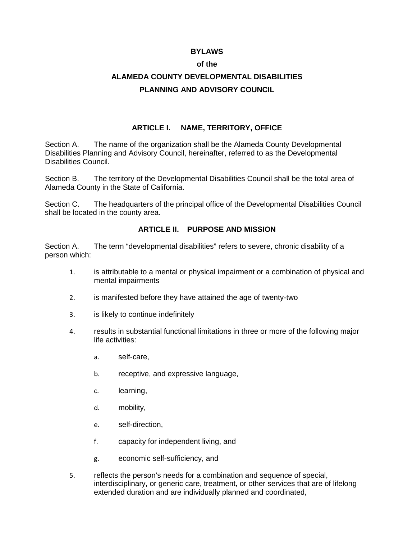#### **BYLAWS**

#### **of the**

# **ALAMEDA COUNTY DEVELOPMENTAL DISABILITIES PLANNING AND ADVISORY COUNCIL**

# **ARTICLE I. NAME, TERRITORY, OFFICE**

Section A. The name of the organization shall be the Alameda County Developmental Disabilities Planning and Advisory Council, hereinafter, referred to as the Developmental Disabilities Council.

Section B. The territory of the Developmental Disabilities Council shall be the total area of Alameda County in the State of California.

Section C. The headquarters of the principal office of the Developmental Disabilities Council shall be located in the county area.

### **ARTICLE II. PURPOSE AND MISSION**

Section A. The term "developmental disabilities" refers to severe, chronic disability of a person which:

- 1. is attributable to a mental or physical impairment or a combination of physical and mental impairments
- 2. is manifested before they have attained the age of twenty-two
- 3. is likely to continue indefinitely
- 4. results in substantial functional limitations in three or more of the following major life activities:
	- a. self-care,
	- b. receptive, and expressive language,
	- c. learning,
	- d. mobility,
	- e. self-direction,
	- f. capacity for independent living, and
	- g. economic self-sufficiency, and
- 5. reflects the person's needs for a combination and sequence of special, interdisciplinary, or generic care, treatment, or other services that are of lifelong extended duration and are individually planned and coordinated,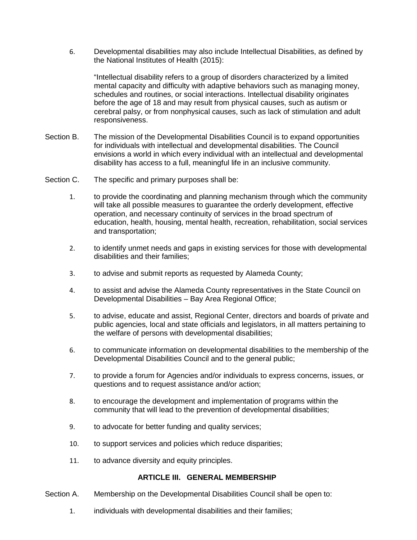6. Developmental disabilities may also include Intellectual Disabilities, as defined by the National Institutes of Health (2015):

"Intellectual disability refers to a group of disorders characterized by a limited mental capacity and difficulty with adaptive behaviors such as managing money, schedules and routines, or social interactions. Intellectual disability originates before the age of 18 and may result from physical causes, such as autism or cerebral palsy, or from nonphysical causes, such as lack of stimulation and adult responsiveness.

- Section B. The mission of the Developmental Disabilities Council is to expand opportunities for individuals with intellectual and developmental disabilities. The Council envisions a world in which every individual with an intellectual and developmental disability has access to a full, meaningful life in an inclusive community.
- Section C. The specific and primary purposes shall be:
	- 1. to provide the coordinating and planning mechanism through which the community will take all possible measures to guarantee the orderly development, effective operation, and necessary continuity of services in the broad spectrum of education, health, housing, mental health, recreation, rehabilitation, social services and transportation;
	- 2. to identify unmet needs and gaps in existing services for those with developmental disabilities and their families;
	- 3. to advise and submit reports as requested by Alameda County;
	- 4. to assist and advise the Alameda County representatives in the State Council on Developmental Disabilities – Bay Area Regional Office;
	- 5. to advise, educate and assist, Regional Center, directors and boards of private and public agencies, local and state officials and legislators, in all matters pertaining to the welfare of persons with developmental disabilities;
	- 6. to communicate information on developmental disabilities to the membership of the Developmental Disabilities Council and to the general public;
	- 7. to provide a forum for Agencies and/or individuals to express concerns, issues, or questions and to request assistance and/or action;
	- 8. to encourage the development and implementation of programs within the community that will lead to the prevention of developmental disabilities;
	- 9. to advocate for better funding and quality services;
	- 10. to support services and policies which reduce disparities;
	- 11. to advance diversity and equity principles.

#### **ARTICLE III. GENERAL MEMBERSHIP**

- Section A. Membership on the Developmental Disabilities Council shall be open to:
	- 1. individuals with developmental disabilities and their families;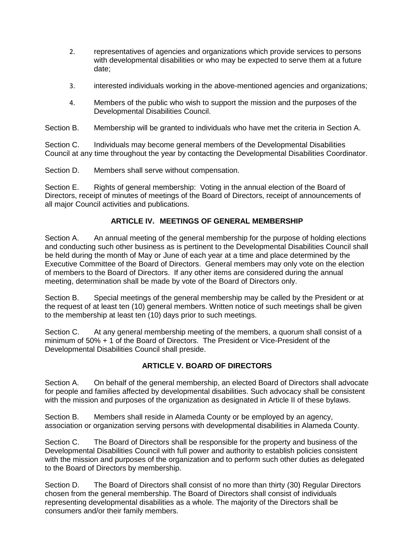- 2. representatives of agencies and organizations which provide services to persons with developmental disabilities or who may be expected to serve them at a future date;
- 3. interested individuals working in the above-mentioned agencies and organizations;
- 4. Members of the public who wish to support the mission and the purposes of the Developmental Disabilities Council.

Section B. Membership will be granted to individuals who have met the criteria in Section A.

Section C. Individuals may become general members of the Developmental Disabilities Council at any time throughout the year by contacting the Developmental Disabilities Coordinator.

Section D. Members shall serve without compensation.

Section E. Rights of general membership: Voting in the annual election of the Board of Directors, receipt of minutes of meetings of the Board of Directors, receipt of announcements of all major Council activities and publications.

# **ARTICLE IV. MEETINGS OF GENERAL MEMBERSHIP**

Section A. An annual meeting of the general membership for the purpose of holding elections and conducting such other business as is pertinent to the Developmental Disabilities Council shall be held during the month of May or June of each year at a time and place determined by the Executive Committee of the Board of Directors. General members may only vote on the election of members to the Board of Directors. If any other items are considered during the annual meeting, determination shall be made by vote of the Board of Directors only.

Section B. Special meetings of the general membership may be called by the President or at the request of at least ten (10) general members. Written notice of such meetings shall be given to the membership at least ten (10) days prior to such meetings.

Section C. At any general membership meeting of the members, a quorum shall consist of a minimum of 50% + 1 of the Board of Directors. The President or Vice-President of the Developmental Disabilities Council shall preside.

### **ARTICLE V. BOARD OF DIRECTORS**

Section A. On behalf of the general membership, an elected Board of Directors shall advocate for people and families affected by developmental disabilities. Such advocacy shall be consistent with the mission and purposes of the organization as designated in Article II of these bylaws.

Section B. Members shall reside in Alameda County or be employed by an agency, association or organization serving persons with developmental disabilities in Alameda County.

Section C. The Board of Directors shall be responsible for the property and business of the Developmental Disabilities Council with full power and authority to establish policies consistent with the mission and purposes of the organization and to perform such other duties as delegated to the Board of Directors by membership.

Section D. The Board of Directors shall consist of no more than thirty (30) Regular Directors chosen from the general membership. The Board of Directors shall consist of individuals representing developmental disabilities as a whole. The majority of the Directors shall be consumers and/or their family members.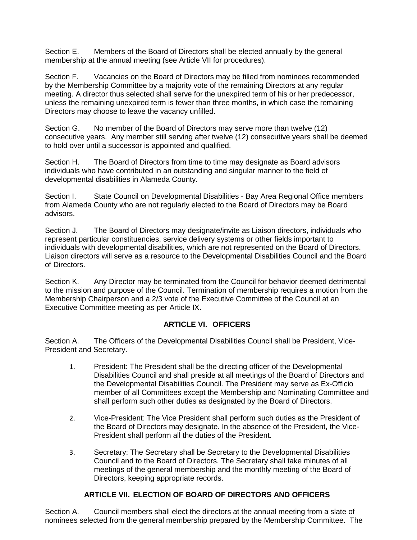Section E. Members of the Board of Directors shall be elected annually by the general membership at the annual meeting (see Article VII for procedures).

Section F. Vacancies on the Board of Directors may be filled from nominees recommended by the Membership Committee by a majority vote of the remaining Directors at any regular meeting. A director thus selected shall serve for the unexpired term of his or her predecessor, unless the remaining unexpired term is fewer than three months, in which case the remaining Directors may choose to leave the vacancy unfilled.

Section G. No member of the Board of Directors may serve more than twelve (12) consecutive years. Any member still serving after twelve (12) consecutive years shall be deemed to hold over until a successor is appointed and qualified.

Section H. The Board of Directors from time to time may designate as Board advisors individuals who have contributed in an outstanding and singular manner to the field of developmental disabilities in Alameda County.

Section I. State Council on Developmental Disabilities - Bay Area Regional Office members from Alameda County who are not regularly elected to the Board of Directors may be Board advisors.

Section J. The Board of Directors may designate/invite as Liaison directors, individuals who represent particular constituencies, service delivery systems or other fields important to individuals with developmental disabilities, which are not represented on the Board of Directors. Liaison directors will serve as a resource to the Developmental Disabilities Council and the Board of Directors.

Section K. Any Director may be terminated from the Council for behavior deemed detrimental to the mission and purpose of the Council. Termination of membership requires a motion from the Membership Chairperson and a 2/3 vote of the Executive Committee of the Council at an Executive Committee meeting as per Article IX.

# **ARTICLE VI. OFFICERS**

Section A. The Officers of the Developmental Disabilities Council shall be President, Vice-President and Secretary.

- 1. President: The President shall be the directing officer of the Developmental Disabilities Council and shall preside at all meetings of the Board of Directors and the Developmental Disabilities Council. The President may serve as Ex-Officio member of all Committees except the Membership and Nominating Committee and shall perform such other duties as designated by the Board of Directors.
- 2. Vice-President: The Vice President shall perform such duties as the President of the Board of Directors may designate. In the absence of the President, the Vice-President shall perform all the duties of the President.
- 3. Secretary: The Secretary shall be Secretary to the Developmental Disabilities Council and to the Board of Directors. The Secretary shall take minutes of all meetings of the general membership and the monthly meeting of the Board of Directors, keeping appropriate records.

# **ARTICLE VII. ELECTION OF BOARD OF DIRECTORS AND OFFICERS**

Section A. Council members shall elect the directors at the annual meeting from a slate of nominees selected from the general membership prepared by the Membership Committee. The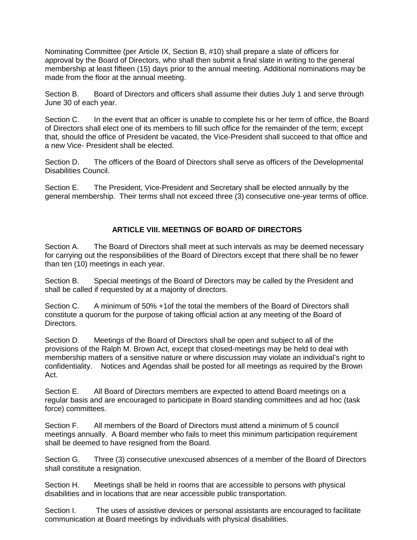Nominating Committee (per Article IX, Section B, #10) shall prepare a slate of officers for approval by the Board of Directors, who shall then submit a final slate in writing to the general membership at least fifteen (15) days prior to the annual meeting. Additional nominations may be made from the floor at the annual meeting.

Section B. Board of Directors and officers shall assume their duties July 1 and serve through June 30 of each year.

Section C. In the event that an officer is unable to complete his or her term of office, the Board of Directors shall elect one of its members to fill such office for the remainder of the term; except that, should the office of President be vacated, the Vice-President shall succeed to that office and a new Vice- President shall be elected.

Section D. The officers of the Board of Directors shall serve as officers of the Developmental Disabilities Council.

Section E. The President, Vice-President and Secretary shall be elected annually by the general membership. Their terms shall not exceed three (3) consecutive one-year terms of office.

# **ARTICLE VIII. MEETINGS OF BOARD OF DIRECTORS**

Section A. The Board of Directors shall meet at such intervals as may be deemed necessary for carrying out the responsibilities of the Board of Directors except that there shall be no fewer than ten (10) meetings in each year.

Section B. Special meetings of the Board of Directors may be called by the President and shall be called if requested by at a majority of directors.

Section C. A minimum of 50% +1of the total the members of the Board of Directors shall constitute a quorum for the purpose of taking official action at any meeting of the Board of Directors.

Section D. Meetings of the Board of Directors shall be open and subject to all of the provisions of the Ralph M. Brown Act, except that closed-meetings may be held to deal with membership matters of a sensitive nature or where discussion may violate an individual's right to confidentiality. Notices and Agendas shall be posted for all meetings as required by the Brown Act.

Section E. All Board of Directors members are expected to attend Board meetings on a regular basis and are encouraged to participate in Board standing committees and ad hoc (task force) committees.

Section F. All members of the Board of Directors must attend a minimum of 5 council meetings annually. A Board member who fails to meet this minimum participation requirement shall be deemed to have resigned from the Board.

Section G. Three (3) consecutive unexcused absences of a member of the Board of Directors shall constitute a resignation.

Section H. Meetings shall be held in rooms that are accessible to persons with physical disabilities and in locations that are near accessible public transportation.

Section I. The uses of assistive devices or personal assistants are encouraged to facilitate communication at Board meetings by individuals with physical disabilities.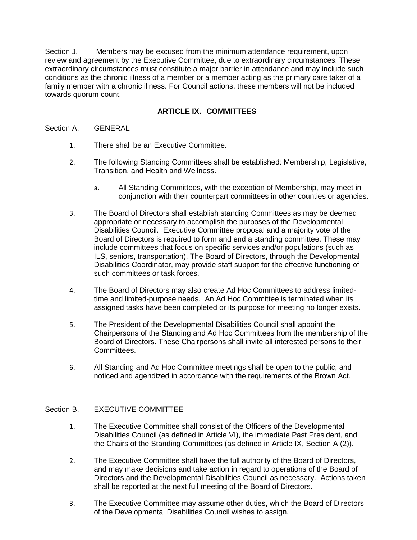Section J. Members may be excused from the minimum attendance requirement, upon review and agreement by the Executive Committee, due to extraordinary circumstances. These extraordinary circumstances must constitute a major barrier in attendance and may include such conditions as the chronic illness of a member or a member acting as the primary care taker of a family member with a chronic illness. For Council actions, these members will not be included towards quorum count.

# **ARTICLE IX. COMMITTEES**

#### Section A. GENERAL

- 1. There shall be an Executive Committee.
- 2. The following Standing Committees shall be established: Membership, Legislative, Transition, and Health and Wellness.
	- a. All Standing Committees, with the exception of Membership, may meet in conjunction with their counterpart committees in other counties or agencies.
- 3. The Board of Directors shall establish standing Committees as may be deemed appropriate or necessary to accomplish the purposes of the Developmental Disabilities Council. Executive Committee proposal and a majority vote of the Board of Directors is required to form and end a standing committee. These may include committees that focus on specific services and/or populations (such as ILS, seniors, transportation). The Board of Directors, through the Developmental Disabilities Coordinator, may provide staff support for the effective functioning of such committees or task forces.
- 4. The Board of Directors may also create Ad Hoc Committees to address limitedtime and limited-purpose needs. An Ad Hoc Committee is terminated when its assigned tasks have been completed or its purpose for meeting no longer exists.
- 5. The President of the Developmental Disabilities Council shall appoint the Chairpersons of the Standing and Ad Hoc Committees from the membership of the Board of Directors. These Chairpersons shall invite all interested persons to their Committees.
- 6. All Standing and Ad Hoc Committee meetings shall be open to the public, and noticed and agendized in accordance with the requirements of the Brown Act.

### Section B. EXECUTIVE COMMITTEE

- 1. The Executive Committee shall consist of the Officers of the Developmental Disabilities Council (as defined in Article VI), the immediate Past President, and the Chairs of the Standing Committees (as defined in Article IX, Section A (2)).
- 2. The Executive Committee shall have the full authority of the Board of Directors, and may make decisions and take action in regard to operations of the Board of Directors and the Developmental Disabilities Council as necessary. Actions taken shall be reported at the next full meeting of the Board of Directors.
- 3. The Executive Committee may assume other duties, which the Board of Directors of the Developmental Disabilities Council wishes to assign.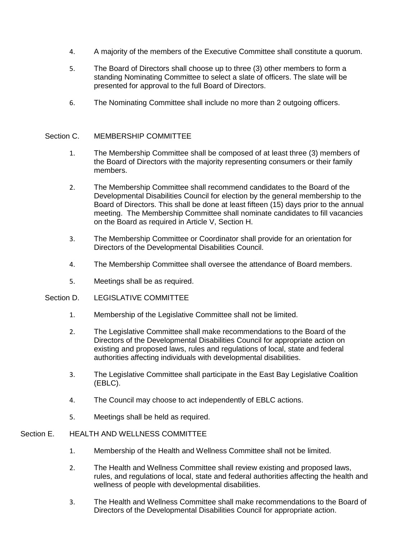- 4. A majority of the members of the Executive Committee shall constitute a quorum.
- 5. The Board of Directors shall choose up to three (3) other members to form a standing Nominating Committee to select a slate of officers. The slate will be presented for approval to the full Board of Directors.
- 6. The Nominating Committee shall include no more than 2 outgoing officers.

#### Section C. MEMBERSHIP COMMITTEE

- 1. The Membership Committee shall be composed of at least three (3) members of the Board of Directors with the majority representing consumers or their family members.
- 2. The Membership Committee shall recommend candidates to the Board of the Developmental Disabilities Council for election by the general membership to the Board of Directors. This shall be done at least fifteen (15) days prior to the annual meeting. The Membership Committee shall nominate candidates to fill vacancies on the Board as required in Article V, Section H.
- 3. The Membership Committee or Coordinator shall provide for an orientation for Directors of the Developmental Disabilities Council.
- 4. The Membership Committee shall oversee the attendance of Board members.
- 5. Meetings shall be as required.
- Section D. LEGISLATIVE COMMITTEE
	- 1. Membership of the Legislative Committee shall not be limited.
	- 2. The Legislative Committee shall make recommendations to the Board of the Directors of the Developmental Disabilities Council for appropriate action on existing and proposed laws, rules and regulations of local, state and federal authorities affecting individuals with developmental disabilities.
	- 3. The Legislative Committee shall participate in the East Bay Legislative Coalition (EBLC).
	- 4. The Council may choose to act independently of EBLC actions.
	- 5. Meetings shall be held as required.

#### Section E. HEALTH AND WELLNESS COMMITTEE

- 1. Membership of the Health and Wellness Committee shall not be limited.
- 2. The Health and Wellness Committee shall review existing and proposed laws, rules, and regulations of local, state and federal authorities affecting the health and wellness of people with developmental disabilities.
- 3. The Health and Wellness Committee shall make recommendations to the Board of Directors of the Developmental Disabilities Council for appropriate action.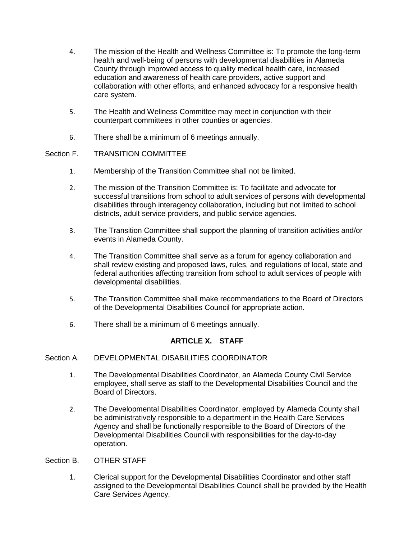- 4. The mission of the Health and Wellness Committee is: To promote the long-term health and well-being of persons with developmental disabilities in Alameda County through improved access to quality medical health care, increased education and awareness of health care providers, active support and collaboration with other efforts, and enhanced advocacy for a responsive health care system.
- 5. The Health and Wellness Committee may meet in conjunction with their counterpart committees in other counties or agencies.
- 6. There shall be a minimum of 6 meetings annually.

# Section F. TRANSITION COMMITTEE

- 1. Membership of the Transition Committee shall not be limited.
- 2. The mission of the Transition Committee is: To facilitate and advocate for successful transitions from school to adult services of persons with developmental disabilities through interagency collaboration, including but not limited to school districts, adult service providers, and public service agencies.
- 3. The Transition Committee shall support the planning of transition activities and/or events in Alameda County.
- 4. The Transition Committee shall serve as a forum for agency collaboration and shall review existing and proposed laws, rules, and regulations of local, state and federal authorities affecting transition from school to adult services of people with developmental disabilities.
- 5. The Transition Committee shall make recommendations to the Board of Directors of the Developmental Disabilities Council for appropriate action.
- 6. There shall be a minimum of 6 meetings annually.

# **ARTICLE X. STAFF**

### Section A. DEVELOPMENTAL DISABILITIES COORDINATOR

- 1. The Developmental Disabilities Coordinator, an Alameda County Civil Service employee, shall serve as staff to the Developmental Disabilities Council and the Board of Directors.
- 2. The Developmental Disabilities Coordinator, employed by Alameda County shall be administratively responsible to a department in the Health Care Services Agency and shall be functionally responsible to the Board of Directors of the Developmental Disabilities Council with responsibilities for the day-to-day operation.

### Section B. OTHER STAFF

1. Clerical support for the Developmental Disabilities Coordinator and other staff assigned to the Developmental Disabilities Council shall be provided by the Health Care Services Agency.